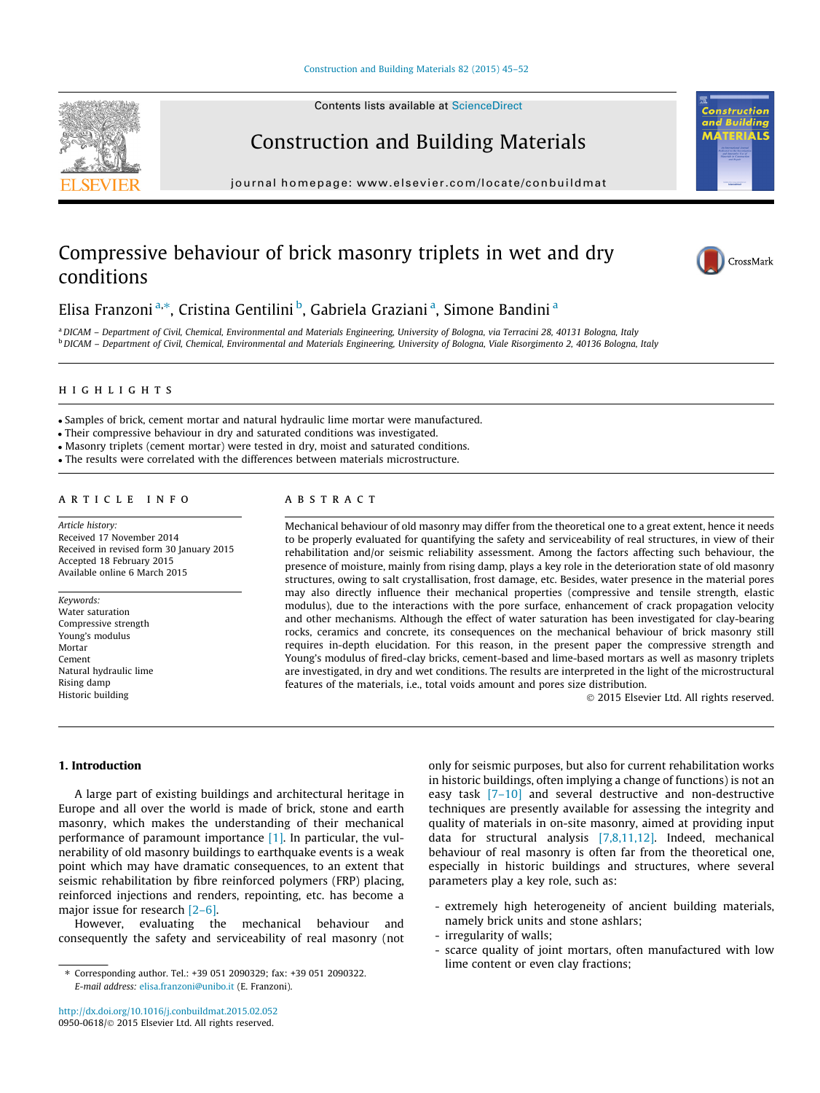#### [Construction and Building Materials 82 \(2015\) 45–52](http://dx.doi.org/10.1016/j.conbuildmat.2015.02.052)

Contents lists available at [ScienceDirect](http://www.sciencedirect.com/science/journal/09500618)



Construction and Building Materials

journal homepage: [www.elsevier.com/locate/conbuildmat](http://www.elsevier.com/locate/conbuildmat)

## Compressive behaviour of brick masonry triplets in wet and dry conditions



 $\overline{\rm MS}$ 



Elisa Franzoni<sup>a,</sup>\*, Cristina Gentilini <sup>b</sup>, Gabriela Graziani <sup>a</sup>, Simone Bandini <sup>a</sup>

a DICAM – Department of Civil, Chemical, Environmental and Materials Engineering, University of Bologna, via Terracini 28, 40131 Bologna, Italy <sup>b</sup> DICAM - Department of Civil, Chemical, Environmental and Materials Engineering, University of Bologna, Viale Risorgimento 2, 40136 Bologna, Italy

#### highlights

- Samples of brick, cement mortar and natural hydraulic lime mortar were manufactured.

- Their compressive behaviour in dry and saturated conditions was investigated.
- Masonry triplets (cement mortar) were tested in dry, moist and saturated conditions.
- The results were correlated with the differences between materials microstructure.

#### article info

Article history: Received 17 November 2014 Received in revised form 30 January 2015 Accepted 18 February 2015 Available online 6 March 2015

Keywords: Water saturation Compressive strength Young's modulus Mortar Cement Natural hydraulic lime Rising damp Historic building

### abstract

Mechanical behaviour of old masonry may differ from the theoretical one to a great extent, hence it needs to be properly evaluated for quantifying the safety and serviceability of real structures, in view of their rehabilitation and/or seismic reliability assessment. Among the factors affecting such behaviour, the presence of moisture, mainly from rising damp, plays a key role in the deterioration state of old masonry structures, owing to salt crystallisation, frost damage, etc. Besides, water presence in the material pores may also directly influence their mechanical properties (compressive and tensile strength, elastic modulus), due to the interactions with the pore surface, enhancement of crack propagation velocity and other mechanisms. Although the effect of water saturation has been investigated for clay-bearing rocks, ceramics and concrete, its consequences on the mechanical behaviour of brick masonry still requires in-depth elucidation. For this reason, in the present paper the compressive strength and Young's modulus of fired-clay bricks, cement-based and lime-based mortars as well as masonry triplets are investigated, in dry and wet conditions. The results are interpreted in the light of the microstructural features of the materials, i.e., total voids amount and pores size distribution.

- 2015 Elsevier Ltd. All rights reserved.

#### 1. Introduction

A large part of existing buildings and architectural heritage in Europe and all over the world is made of brick, stone and earth masonry, which makes the understanding of their mechanical performance of paramount importance [\[1\].](#page--1-0) In particular, the vulnerability of old masonry buildings to earthquake events is a weak point which may have dramatic consequences, to an extent that seismic rehabilitation by fibre reinforced polymers (FRP) placing, reinforced injections and renders, repointing, etc. has become a major issue for research [\[2–6\]](#page--1-0).

However, evaluating the mechanical behaviour and consequently the safety and serviceability of real masonry (not

<http://dx.doi.org/10.1016/j.conbuildmat.2015.02.052>

only for seismic purposes, but also for current rehabilitation works in historic buildings, often implying a change of functions) is not an easy task [\[7–10\]](#page--1-0) and several destructive and non-destructive techniques are presently available for assessing the integrity and quality of materials in on-site masonry, aimed at providing input data for structural analysis [\[7,8,11,12\]](#page--1-0). Indeed, mechanical behaviour of real masonry is often far from the theoretical one, especially in historic buildings and structures, where several parameters play a key role, such as:

- extremely high heterogeneity of ancient building materials, namely brick units and stone ashlars;
- irregularity of walls;
- scarce quality of joint mortars, often manufactured with low lime content or even clay fractions;

<sup>⇑</sup> Corresponding author. Tel.: +39 051 2090329; fax: +39 051 2090322. E-mail address: [elisa.franzoni@unibo.it](mailto:elisa.franzoni@unibo.it) (E. Franzoni).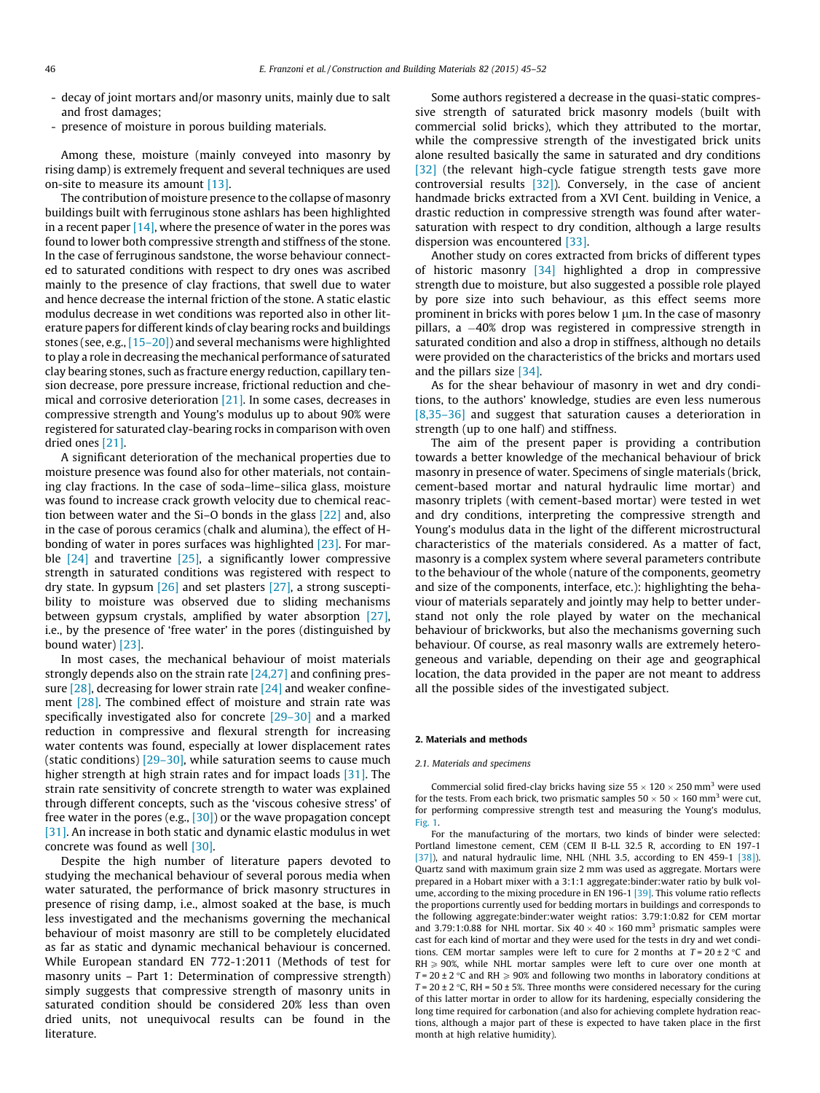- decay of joint mortars and/or masonry units, mainly due to salt and frost damages;
- presence of moisture in porous building materials.

Among these, moisture (mainly conveyed into masonry by rising damp) is extremely frequent and several techniques are used on-site to measure its amount [\[13\]](#page--1-0).

The contribution of moisture presence to the collapse of masonry buildings built with ferruginous stone ashlars has been highlighted in a recent paper  $[14]$ , where the presence of water in the pores was found to lower both compressive strength and stiffness of the stone. In the case of ferruginous sandstone, the worse behaviour connected to saturated conditions with respect to dry ones was ascribed mainly to the presence of clay fractions, that swell due to water and hence decrease the internal friction of the stone. A static elastic modulus decrease in wet conditions was reported also in other literature papers for different kinds of clay bearing rocks and buildings stones (see, e.g., [\[15–20\]\)](#page--1-0) and several mechanisms were highlighted to play a role in decreasing the mechanical performance of saturated clay bearing stones, such as fracture energy reduction, capillary tension decrease, pore pressure increase, frictional reduction and chemical and corrosive deterioration [\[21\].](#page--1-0) In some cases, decreases in compressive strength and Young's modulus up to about 90% were registered for saturated clay-bearing rocks in comparison with oven dried ones [\[21\].](#page--1-0)

A significant deterioration of the mechanical properties due to moisture presence was found also for other materials, not containing clay fractions. In the case of soda–lime–silica glass, moisture was found to increase crack growth velocity due to chemical reaction between water and the Si–O bonds in the glass [\[22\]](#page--1-0) and, also in the case of porous ceramics (chalk and alumina), the effect of Hbonding of water in pores surfaces was highlighted [\[23\]](#page--1-0). For mar-ble [\[24\]](#page--1-0) and travertine [\[25\],](#page--1-0) a significantly lower compressive strength in saturated conditions was registered with respect to dry state. In gypsum [\[26\]](#page--1-0) and set plasters [\[27\]](#page--1-0), a strong susceptibility to moisture was observed due to sliding mechanisms between gypsum crystals, amplified by water absorption [\[27\],](#page--1-0) i.e., by the presence of 'free water' in the pores (distinguished by bound water) [\[23\]](#page--1-0).

In most cases, the mechanical behaviour of moist materials strongly depends also on the strain rate [\[24,27\]](#page--1-0) and confining pressure [\[28\]](#page--1-0), decreasing for lower strain rate [\[24\]](#page--1-0) and weaker confine-ment [\[28\]](#page--1-0). The combined effect of moisture and strain rate was specifically investigated also for concrete [\[29–30\]](#page--1-0) and a marked reduction in compressive and flexural strength for increasing water contents was found, especially at lower displacement rates (static conditions)  $[29-30]$ , while saturation seems to cause much higher strength at high strain rates and for impact loads [\[31\]](#page--1-0). The strain rate sensitivity of concrete strength to water was explained through different concepts, such as the 'viscous cohesive stress' of free water in the pores (e.g.,  $[30]$ ) or the wave propagation concept [\[31\]](#page--1-0). An increase in both static and dynamic elastic modulus in wet concrete was found as well [\[30\].](#page--1-0)

Despite the high number of literature papers devoted to studying the mechanical behaviour of several porous media when water saturated, the performance of brick masonry structures in presence of rising damp, i.e., almost soaked at the base, is much less investigated and the mechanisms governing the mechanical behaviour of moist masonry are still to be completely elucidated as far as static and dynamic mechanical behaviour is concerned. While European standard EN 772-1:2011 (Methods of test for masonry units – Part 1: Determination of compressive strength) simply suggests that compressive strength of masonry units in saturated condition should be considered 20% less than oven dried units, not unequivocal results can be found in the literature.

Some authors registered a decrease in the quasi-static compressive strength of saturated brick masonry models (built with commercial solid bricks), which they attributed to the mortar, while the compressive strength of the investigated brick units alone resulted basically the same in saturated and dry conditions [\[32\]](#page--1-0) (the relevant high-cycle fatigue strength tests gave more controversial results [\[32\]](#page--1-0)). Conversely, in the case of ancient handmade bricks extracted from a XVI Cent. building in Venice, a drastic reduction in compressive strength was found after watersaturation with respect to dry condition, although a large results dispersion was encountered [\[33\]](#page--1-0).

Another study on cores extracted from bricks of different types of historic masonry  $[34]$  highlighted a drop in compressive strength due to moisture, but also suggested a possible role played by pore size into such behaviour, as this effect seems more prominent in bricks with pores below  $1 \mu m$ . In the case of masonry pillars,  $a -40\%$  drop was registered in compressive strength in saturated condition and also a drop in stiffness, although no details were provided on the characteristics of the bricks and mortars used and the pillars size [\[34\]](#page--1-0).

As for the shear behaviour of masonry in wet and dry conditions, to the authors' knowledge, studies are even less numerous [\[8,35–36\]](#page--1-0) and suggest that saturation causes a deterioration in strength (up to one half) and stiffness.

The aim of the present paper is providing a contribution towards a better knowledge of the mechanical behaviour of brick masonry in presence of water. Specimens of single materials (brick, cement-based mortar and natural hydraulic lime mortar) and masonry triplets (with cement-based mortar) were tested in wet and dry conditions, interpreting the compressive strength and Young's modulus data in the light of the different microstructural characteristics of the materials considered. As a matter of fact, masonry is a complex system where several parameters contribute to the behaviour of the whole (nature of the components, geometry and size of the components, interface, etc.): highlighting the behaviour of materials separately and jointly may help to better understand not only the role played by water on the mechanical behaviour of brickworks, but also the mechanisms governing such behaviour. Of course, as real masonry walls are extremely heterogeneous and variable, depending on their age and geographical location, the data provided in the paper are not meant to address all the possible sides of the investigated subject.

#### 2. Materials and methods

#### 2.1. Materials and specimens

Commercial solid fired-clay bricks having size  $55 \times 120 \times 250$  mm<sup>3</sup> were used for the tests. From each brick, two prismatic samples  $50 \times 50 \times 160$  mm<sup>3</sup> were cut, for performing compressive strength test and measuring the Young's modulus, [Fig. 1](#page--1-0).

For the manufacturing of the mortars, two kinds of binder were selected: Portland limestone cement, CEM (CEM II B-LL 32.5 R, according to EN 197-1 [\[37\]](#page--1-0)), and natural hydraulic lime, NHL (NHL 3.5, according to EN 459-1 [\[38\]\)](#page--1-0). Quartz sand with maximum grain size 2 mm was used as aggregate. Mortars were prepared in a Hobart mixer with a 3:1:1 aggregate:binder:water ratio by bulk volume, according to the mixing procedure in EN 196-1 [\[39\]](#page--1-0). This volume ratio reflects the proportions currently used for bedding mortars in buildings and corresponds to the following aggregate:binder:water weight ratios: 3.79:1:0.82 for CEM mortar and 3.79:1:0.88 for NHL mortar. Six  $40 \times 40 \times 160$  mm<sup>3</sup> prismatic samples were cast for each kind of mortar and they were used for the tests in dry and wet conditions. CEM mortar samples were left to cure for 2 months at  $T = 20 \pm 2$  °C and  $RH \geqslant 90$ %, while NHL mortar samples were left to cure over one month at  $T = 20 \pm 2$  °C and RH  $\geqslant$  90% and following two months in laboratory conditions at  $T = 20 \pm 2$  °C, RH = 50  $\pm$  5%. Three months were considered necessary for the curing of this latter mortar in order to allow for its hardening, especially considering the long time required for carbonation (and also for achieving complete hydration reactions, although a major part of these is expected to have taken place in the first month at high relative humidity).